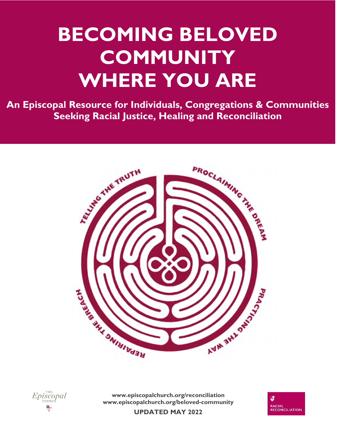# **BECOMING BELOVED COMMUNITY WHERE YOU ARE**

 **An Episcopal Resource for Individuals, Congregations & Communities Seeking Racial Justice, Healing and Reconciliation** 





**www.episcopalchurch.org/reconciliation www.episcopalchurch.org/beloved-community** 



**UPDATED MAY 2022**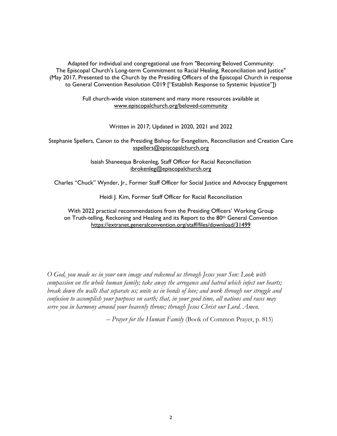Adapted for individual and congregational use from "Becoming Beloved Community: The Episcopal Church's Long-term Commitment to Racial Healing, Reconciliation and Justice" (May 2017, Presented to the Church by the Presiding Officers of the Episcopal Church in response to General Convention Resolution C019 ["Establish Response to Systemic Injustice"])

> Full church-wide vision statement and many more resources available at www.episcopalchurch.org/beloved-community

> > Written in 2017; Updated in 2020, 2021 and 2022

Stephanie Spellers, Canon to the Presiding Bishop for Evangelism, Reconciliation and Creation Care sspellers@episcopalchurch.org

> Isaiah Shaneequa Brokenleg, Staff Officer for Racial Reconciliation ibrokenleg@episcopalchurch.org

Charles "Chuck" Wynder, Jr., Former Staff Officer for Social Justice and Advocacy Engagement

Heidi J. Kim, Former Staff Officer for Racial Reconciliation

With 2022 practical recommendations from the Presiding Officers' Working Group on Truth-telling, Reckoning and Healing and its Report to the 80<sup>th</sup> General Convention https://extranet.generalconvention.org/staff/files/download/31499

*O God, you made us in your own image and redeemed us through Jesus your Son: Look with compassion on the whole human family; take away the arrogance and hatred which infect our hearts; break down the walls that separate us; unite us in bonds of love; and work through our struggle and confusion to accomplish your purposes on earth; that, in your good time, all nations and races may serve you in harmony around your heavenly throne; through Jesus Christ our Lord. Amen.* 

*– Prayer for the Human Family* (Book of Common Prayer, p. 815)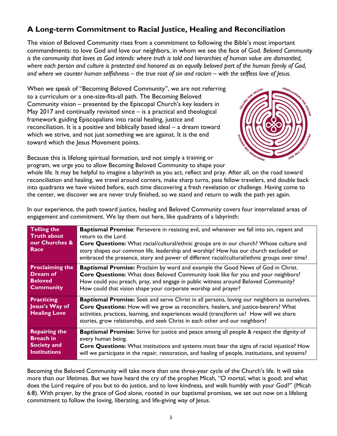# **A Long-term Commitment to Racial Justice, Healing and Reconciliation**

The vision of Beloved Community rises from a commitment to following the Bible's most important commandments: to love God and love our neighbors, in whom we see the face of God. *Beloved Community is the community that loves as God intends: where truth is told and hierarchies of human value are dismantled, where each person and culture is protected and honored as an equally beloved part of the human family of God, and where we counter human selfishness – the true root of sin and racism – with the selfless love of Jesus*.

When we speak of "Becoming Beloved Community", we are not referring to a curriculum or a one-size-fits-all path. The Becoming Beloved Community vision – presented by the Episcopal Church's key leaders in May 2017 and continually revisited since – is a practical and theological framework guiding Episcopalians into racial healing, justice and reconciliation. It is a positive and biblically based ideal – a dream toward which we strive, and not just something we are against. It is the end toward which the Jesus Movement points.



Because this is lifelong spiritual formation, and not simply a training or program, we urge you to allow Becoming Beloved Community to shape your

whole life. It may be helpful to imagine a labyrinth as you act, reflect and pray. After all, on the road toward reconciliation and healing, we travel around corners, make sharp turns, pass fellow travelers, and double back into quadrants we have visited before, each time discovering a fresh revelation or challenge. Having come to the center, we discover we are never truly finished, so we stand and return to walk the path yet again.

| <b>Telling the</b><br><b>Truth about</b><br>our Churches &<br>Race | <b>Baptismal Promise:</b> Persevere in resisting evil, and whenever we fall into sin, repent and<br>return to the Lord.<br>Core Questions: What racial/cultural/ethnic groups are in our church? Whose culture and<br>story shapes our common life, leadership and worship? How has our church excluded or<br>embraced the presence, story and power of different racial/cultural/ethnic groups over time? |
|--------------------------------------------------------------------|------------------------------------------------------------------------------------------------------------------------------------------------------------------------------------------------------------------------------------------------------------------------------------------------------------------------------------------------------------------------------------------------------------|
| <b>Proclaiming the</b>                                             | <b>Baptismal Promise:</b> Proclaim by word and example the Good News of God in Christ.                                                                                                                                                                                                                                                                                                                     |
| <b>Dream of</b>                                                    | Core Questions: What does Beloved Community look like for you and your neighbors?                                                                                                                                                                                                                                                                                                                          |
| <b>Beloved</b>                                                     | How could you preach, pray, and engage in public witness around Beloved Community?                                                                                                                                                                                                                                                                                                                         |
| <b>Community</b>                                                   | How could that vision shape your corporate worship and prayer?                                                                                                                                                                                                                                                                                                                                             |
| <b>Practicing</b><br>Jesus's Way of<br><b>Healing Love</b>         | <b>Baptismal Promise:</b> Seek and serve Christ in all persons, loving our neighbors as ourselves.<br>Core Questions: How will we grow as reconcilers, healers, and justice-bearers? What<br>activities, practices, learning, and experiences would (trans)form us? How will we share<br>stories, grow relationship, and seek Christ in each other and our neighbors?                                      |
| <b>Repairing the</b>                                               | <b>Baptismal Promise:</b> Strive for justice and peace among all people & respect the dignity of                                                                                                                                                                                                                                                                                                           |
| <b>Breach in</b>                                                   | every human being.                                                                                                                                                                                                                                                                                                                                                                                         |
| <b>Society and</b>                                                 | <b>Core Questions:</b> What institutions and systems most bear the signs of racial injustice? How                                                                                                                                                                                                                                                                                                          |
| <b>Institutions</b>                                                | will we participate in the repair, restoration, and healing of people, institutions, and systems?                                                                                                                                                                                                                                                                                                          |

In our experience, the path toward justice, healing and Beloved Community covers four interrelated areas of engagement and commitment. We lay them out here, like quadrants of a labyrinth:

Becoming the Beloved Community will take more than one three-year cycle of the Church's life. It will take more than our lifetimes. But we have heard the cry of the prophet Micah, "O mortal, what is good; and what does the Lord require of you but to do justice, and to love kindness, and walk humbly with your God?" (Micah 6:8). With prayer, by the grace of God alone, rooted in our baptismal promises, we set out now on a lifelong commitment to follow the loving, liberating, and life-giving way of Jesus.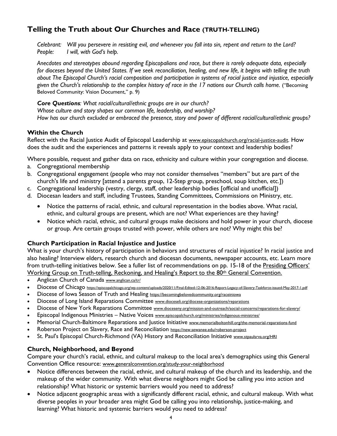## **Telling the Truth about Our Churches and Race (TRUTH-TELLING)**

*Celebrant: Will you persevere in resisting evil, and whenever you fall into sin, repent and return to the Lord? People: I will, with God's help.* 

*Anecdotes and stereotypes abound regarding Episcopalians and race, but there is rarely adequate data, especially for dioceses beyond the United States. If we seek reconciliation, healing, and new life, it begins with telling the truth about The Episcopal Church's racial composition and participation in systems of racial justice and injustice, especially given the Church's relationship to the complex history of race in the 17 nations our Church calls home.* ("Becoming Beloved Community: Vision Document," p. 9)

*Core Questions: What racial/cultural/ethnic groups are in our church? Whose culture and story shapes our common life, leadership, and worship? How has our church excluded or embraced the presence, story and power of different racial/cultural/ethnic groups?* 

#### **Within the Church**

Reflect with the Racial Justice Audit of Episcopal Leadership at www.episcopalchurch.org/racial-justice-audit. How does the audit and the experiences and patterns it reveals apply to your context and leadership bodies?

Where possible, request and gather data on race, ethnicity and culture within your congregation and diocese.

- a. Congregational membership
- b. Congregational engagement (people who may not consider themselves "members" but are part of the church's life and ministry [attend a parents group, 12-Step group, preschool, soup kitchen, etc.])
- c. Congregational leadership (vestry, clergy, staff, other leadership bodies [official and unofficial])
- d. Diocesan leaders and staff, including Trustees, Standing Committees, Commissions on Ministry, etc.
	- Notice the patterns of racial, ethnic, and cultural representation in the bodies above. What racial, ethnic, and cultural groups are present, which are not? What experiences are they having?
	- Notice which racial, ethnic, and cultural groups make decisions and hold power in your church, diocese or group. Are certain groups trusted with power, while others are not? Why might this be?

## **Church Participation in Racial Injustice and Justice**

What is your church's history of participation in behaviors and structures of racial injustice? In racial justice and also healing? Interview elders, research church and diocesan documents, newspaper accounts, etc. Learn more [from truth-telling initiatives below. See a fuller list of recommendations on pp. 15-18 of the Presiding Officers'](https://extranet.generalconvention.org/staff/files/download/31499)  Working Group on Truth-telling, Reckoning, and Healing's Report to the 80<sup>th</sup> General Convention.

- Anglican Church of Canada www.anglican.ca/tr/
- Diocese of Chicago https://episcopalchicago.org/wp-content/uploads/2020/11/Final-Edited-12-06-2016-Report-Legacy-of-Slavery-Taskforce-issued-May-2017-1.pdf
- Diocese of Iowa Season of Truth and Healing https://becomingbelovedcommunity.org/raceiniowa
- Diocese of Long Island Reparations Committee www.dioceseli.org/diocese-organizations/reparations
- Diocese of New York Reparations Committee www.dioceseny.org/mission-and-outreach/social-concerns/reparations-for-slavery/
- Episcopal Indigenous Ministries Native Voices www.episcopalchurch.org/ministries/indigenous-ministries/
- Memorial Church-Baltimore Reparations and Justice Initiative www.memorialboltonhill.org/the-memorial-reparations-fund
- Roberson Project on Slavery, Race and Reconciliation https://new.sewanee.edu/roberson-project
- St. Paul's Episcopal Church-Richmond (VA) History and Reconciliation Initiative www.stpaulsrva.org/HRI

## **Church, Neighborhood, and Beyond**

Compare your church's racial, ethnic, and cultural makeup to the local area's demographics using this General Convention Office resource: www.generalconvention.org/study-your-neighborhood

- Notice differences between the racial, ethnic, and cultural makeup of the church and its leadership, and the makeup of the wider community. With what diverse neighbors might God be calling you into action and relationship? What historic or systemic barriers would you need to address?
- Notice adjacent geographic areas with a significantly different racial, ethnic, and cultural makeup. With what diverse peoples in your broader area might God be calling you into relationship, justice-making, and learning? What historic and systemic barriers would you need to address?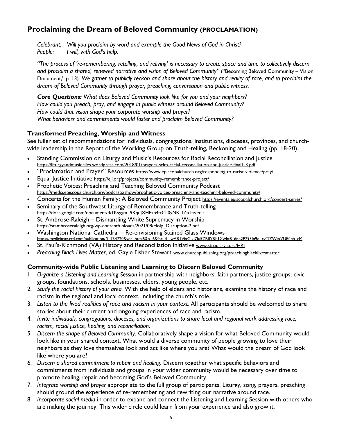## **Proclaiming the Dream of Beloved Community (PROCLAMATION)**

*Celebrant: Will you proclaim by word and example the Good News of God in Christ? People: I will, with God's help.* 

*"The process of 're-remembering, retelling, and reliving' is necessary to create space and time to collectively discern and proclaim a shared, renewed narrative and vision of Beloved Community"* ("Becoming Beloved Community – Vision Document," p. 13). *We gather to publicly reckon and share about the history and reality of race, and to proclaim the dream of Beloved Community through prayer, preaching, conversation and public witness.* 

*Core Questions: What does Beloved Community look like for you and your neighbors? How could you preach, pray, and engage in public witness around Beloved Community? How could that vision shape your corporate worship and prayer? What behaviors and commitments would foster and proclaim Beloved Community?* 

#### **Transformed Preaching, Worship and Witness**

See fuller set of recommendations for individuals, congregations, institutions, dioceses, provinces, and church-wide leadership in the [Report of the Working Group on Truth-telling, Reckoning and Healing](https://extranet.generalconvention.org/staff/files/download/31499) (pp. 18-20)

- Standing Commission on Liturgy and Music's Resources for Racial Reconciliation and Justice https://liturgyandmusic.files.wordpress.com/2018/01/prayers-sclm-racial-reconciliation-and-justice-final1-3.pdf
- "Proclamation and Prayer" Resources https://www.episcopalchurch.org/responding-to-racist-violence/pray/
- Equal Justice Initiative https://eji.org/projects/community-remembrance-project/
- Prophetic Voices: Preaching and Teaching Beloved Community Podcast https://media.episcopalchurch.org/podcasts/show/prophetic-voices-preaching-and-teaching-beloved-community/
- Concerts for the Human Family: A Beloved Community Project https://events.episcopalchurch.org/concert-series/
- Seminary of the Southwest Liturgy of Remembrance and Truth-telling https://docs.google.com/document/d/1Ksygm\_9KquJXHPzb4ttCL0yNK\_lZp1tz/edit
- St. Ambrose-Raleigh Dismantling White Supremacy in Worship https://stambroseraleigh.org/wp-content/uploads/2021/08/Holy\_Disruption-2.pdf
- Washington National Cathedral Re-envisioning Stained Glass Windows https://mydigimag.rrd.com/publication/?i=734720&ver=html5&p=6&fbclid=IwAR1VjxGlxi7fu5ZRiJYRh1Xwht816pn2P793Jq9q\_cyTlZWtxVUEfJqh1cM
- St. Paul's-Richmond (VA) History and Reconciliation Initiative www.stpaulsrva.org/HRI
- *Preaching Black Lives Matter*, ed. Gayle Fisher Stewart www.churchpublishing.org/preachingblacklivesmatter

#### **Community-wide Public Listening and Learning to Discern Beloved Community**

- 1. *Organize a Listening and Learning Session* in partnership with neighbors, faith partners, justice groups, civic groups, foundations, schools, businesses, elders, young people, etc.
- 2. *Study the racial history of your area.* With the help of elders and historians, examine the history of race and racism in the regional and local context, including the church's role.
- 3. *Listen to the lived realities of race and racism in your context.* All participants should be welcomed to share stories about their current and ongoing experiences of race and racism.
- 4. *Invite individuals, congregations, dioceses, and organizations to share local and regional work addressing race, racism, racial justice, healing, and reconciliation.*
- 5. *Discern the shape of Beloved Community*. Collaboratively shape a vision for what Beloved Community would look like in your shared context. What would a diverse community of people growing to love their neighbors as they love themselves look and act like where you are? What would the dream of God look like where you are?
- 6. *Discern a shared commitment to repair and healing*. Discern together what specific behaviors and commitments from individuals and groups in your wider community would be necessary over time to promote healing, repair and becoming God's Beloved Community.
- 7. *Integrate worship and prayer* appropriate to the full group of participants. Liturgy, song, prayers, preaching should ground the experience of re-remembering and rewriting our narrative around race.
- 8. *Incorporate social media* in order to expand and connect the Listening and Learning Session with others who are making the journey. This wider circle could learn from your experience and also grow it.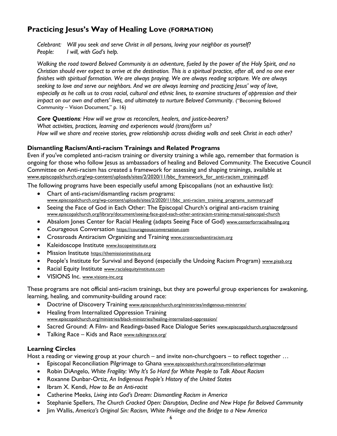## **Practicing Jesus's Way of Healing Love (FORMATION)**

*Celebrant: Will you seek and serve Christ in all persons, loving your neighbor as yourself? People: I will, with God's help.* 

*Walking the road toward Beloved Community is an adventure, fueled by the power of the Holy Spirit, and no Christian should ever expect to arrive at the destination. This is a spiritual practice, after all, and no one ever finishes with spiritual formation. We are always praying. We are always reading scripture. We are always seeking to love and serve our neighbors. And we are always learning and practicing Jesus' way of love, especially as he calls us to cross racial, cultural and ethnic lines, to examine structures of oppression and their impact on our own and others' lives, and ultimately to nurture Beloved Community*. ("Becoming Beloved Community – Vision Document," p. 16)

*Core Questions: How will we grow as reconcilers, healers, and justice-bearers? What activities, practices, learning and experiences would (trans)form us? How will we share and receive stories, grow relationship across dividing walls and seek Christ in each other?* 

#### **Dismantling Racism/Anti-racism Trainings and Related Programs**

Even if you've completed anti-racism training or diversity training a while ago, remember that formation is ongoing for those who follow Jesus as ambassadors of healing and Beloved Community. The Executive Council Committee on Anti-racism has created a framework for assessing and shaping trainings, available at www.episcopalchurch.org/wp-content/uploads/sites/2/2020/11/bbc\_framework\_for\_anti-racism\_training.pdf.

The following programs have been especially useful among Episcopalians (not an exhaustive list):

- Chart of anti-racism/dismantling racism programs: www.episcopalchurch.org/wp-content/uploads/sites/2/2020/11/bbc\_anti-racism\_training\_programs\_summary.pdf
- Seeing the Face of God in Each Other: The Episcopal Church's original anti-racism training www.episcopalchurch.org/library/document/seeing-face-god-each-other-antiracism-training-manual-episcopal-church
- Absalom Jones Center for Racial Healing (adapts Seeing Face of God) www.centerforracialhealing.org
- Courageous Conversation https://courageousconversation.com
- Crossroads Antiracism Organizing and Training www.crossroadsantiracism.org
- Kaleidoscope Institute www.kscopeinstitute.org
- Mission Institute https://themissioninstitute.org
- People's Institute for Survival and Beyond (especially the Undoing Racism Program) www.pisab.org
- Racial Equity Institute www.racialequityinstitute.com
- VISIONS Inc. www.visions-inc.org

These programs are not official anti-racism trainings, but they are powerful group experiences for awakening, learning, healing, and community-building around race:

- **•** Doctrine of Discovery Training www.episcopalchurch.org/ministries/indigenous-ministries/
- Healing from Internalized Oppression Training www.episcopalchurch.org/ministries/black-ministries/healing-internalized-oppression/
- Sacred Ground: A Film- and Readings-based Race Dialogue Series www.episcopalchurch.org/sacredground
- Talking Race Kids and Race www.talkingrace.org/

#### **Learning Circles**

Host a reading or viewing group at your church – and invite non-churchgoers – to reflect together …

- Episcopal Reconciliation Pilgrimage to Ghana www.episcopalchurch.org/reconciliation-pilgrimage
- Robin DiAngelo, *White Fragility: Why It's So Hard for White People to Talk About Racism*
- Roxanne Dunbar-Ortiz, *An Indigenous People's History of the United States*
- Ibram X. Kendi, *How to Be an Anti-racist*
- Catherine Meeks, *Living into God's Dream: Dismantling Racism in America*
- Stephanie Spellers, *The Church Cracked Open: Disruption, Decline and New Hope for Beloved Community*
- Jim Wallis, *America's Original Sin: Racism, White Privilege and the Bridge to a New America*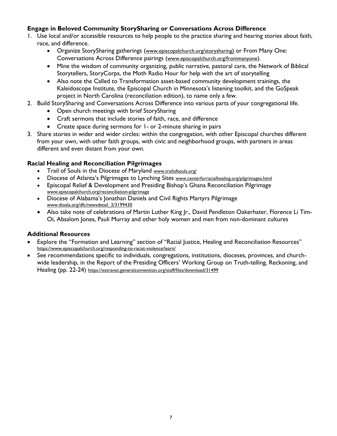### **Engage in Beloved Community StorySharing or Conversations Across Difference**

- 1. Use local and/or accessible resources to help people to the practice sharing and hearing stories about faith, race, and difference.
	- Organize StorySharing gatherings (www.episcopalchurch.org/storysharing) or From Many One: Conversations Across Difference pairings (www.episcopalchurch.org/frommanyone).
	- Mine the wisdom of community organizing, public narrative, pastoral care, the Network of Biblical Storytellers, StoryCorps, the Moth Radio Hour for help with the art of storytelling
	- Also note the Called to Transformation asset-based community development trainings, the Kaleidoscope Institute, the Episcopal Church in Minnesota's listening toolkit, and the GoSpeak project in North Carolina (reconciliation edition), to name only a few.
- 2. Build StorySharing and Conversations Across Difference into various parts of your congregational life.
	- Open church meetings with brief StorySharing
	- Craft sermons that include stories of faith, race, and difference
	- Create space during sermons for 1- or 2-minute sharing in pairs
- 3. Share stories in wider and wider circles: within the congregation, with other Episcopal churches different from your own, with other faith groups, with civic and neighborhood groups, with partners in areas different and even distant from your own.

#### **Racial Healing and Reconciliation Pilgrimages**

- Trail of Souls in the Diocese of Maryland www.trailofsouls.org/
- Diocese of Atlanta's Pilgrimages to Lynching Sites www.centerforracialhealing.org/pilgrimages.html
- Episcopal Relief & Development and Presiding Bishop's Ghana Reconciliation Pilgrimage www.episcopalchurch.org/reconciliation-pilgrimage
- Diocese of Alabama's Jonathan Daniels and Civil Rights Martyrs Pilgrimage www.dioala.org/dfc/newsdetail\_2/3199430
- Also take note of celebrations of Martin Luther King Jr., David Pendleton Oakerhater, Florence Li Tim-Oi, Absalom Jones, Pauli Murray and other holy women and men from non-dominant cultures

#### **Additional Resources**

- Explore the "Formation and Learning" section of "Racial Justice, Healing and Reconciliation Resources" https://www.episcopalchurch.org/responding-to-racist-violence/learn/
- See recommendations specific to individuals, congregations, institutions, dioceses, provinces, and churchwide leadership, in the Report of the Presiding Officers' Working Group on Truth-telling, Reckoning, and Healing (pp. 22-24) https://extranet.generalconvention.org/staff/files/download/31499